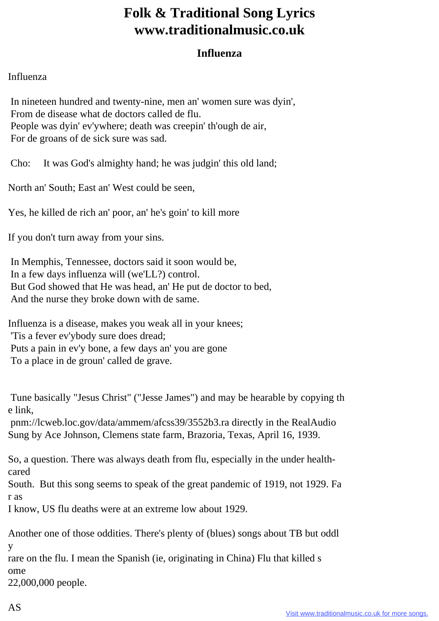## **Folk & Traditional Song Lyrics www.traditionalmusic.co.uk**

## **Influenza**

## Influenza

 In nineteen hundred and twenty-nine, men an' women sure was dyin', From de disease what de doctors called de flu. People was dyin' ev'ywhere; death was creepin' th'ough de air, For de groans of de sick sure was sad.

Cho: It was God's almighty hand; he was judgin' this old land;

North an' South; East an' West could be seen,

Yes, he killed de rich an' poor, an' he's goin' to kill more

If you don't turn away from your sins.

 In Memphis, Tennessee, doctors said it soon would be, In a few days influenza will (we'LL?) control. But God showed that He was head, an' He put de doctor to bed, And the nurse they broke down with de same.

Influenza is a disease, makes you weak all in your knees; 'Tis a fever ev'ybody sure does dread; Puts a pain in ev'y bone, a few days an' you are gone To a place in de groun' called de grave.

 Tune basically "Jesus Christ" ("Jesse James") and may be hearable by copying th e link,

 pnm://lcweb.loc.gov/data/ammem/afcss39/3552b3.ra directly in the RealAudio Sung by Ace Johnson, Clemens state farm, Brazoria, Texas, April 16, 1939.

So, a question. There was always death from flu, especially in the under healthcared

South. But this song seems to speak of the great pandemic of 1919, not 1929. Fa r as

I know, US flu deaths were at an extreme low about 1929.

Another one of those oddities. There's plenty of (blues) songs about TB but oddl y

rare on the flu. I mean the Spanish (ie, originating in China) Flu that killed s ome

22,000,000 people.